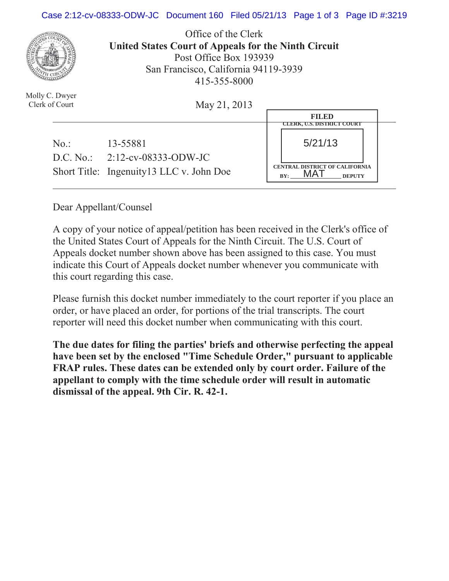## Case 2:12-cv-08333-ODW-JC Document 160 Filed 05/21/13 Page 1 of 3 Page ID #:3219



Office of the Clerk **United States Court of Appeals for the Ninth Circuit**  Post Office Box 193939 San Francisco, California 94119-3939 415-355-8000

May 21, 2013

|     |                                           | <b>FILED</b>                                                  |  |
|-----|-------------------------------------------|---------------------------------------------------------------|--|
|     |                                           | <b>CLERK, U.S. DISTRICT COURT</b>                             |  |
| No: | 13-55881                                  | 5/21/13                                                       |  |
|     | D.C. No.: $2:12$ -cv-08333-ODW-JC         |                                                               |  |
|     | Short Title: Ingenuity 13 LLC v. John Doe | <b>CENTRAL DISTRICT OF CALIFORNIA</b><br>BY:<br><b>DEPUTY</b> |  |

Dear Appellant/Counsel

A copy of your notice of appeal/petition has been received in the Clerk's office of the United States Court of Appeals for the Ninth Circuit. The U.S. Court of Appeals docket number shown above has been assigned to this case. You must indicate this Court of Appeals docket number whenever you communicate with this court regarding this case.

Please furnish this docket number immediately to the court reporter if you place an order, or have placed an order, for portions of the trial transcripts. The court reporter will need this docket number when communicating with this court.

**The due dates for filing the parties' briefs and otherwise perfecting the appeal have been set by the enclosed "Time Schedule Order," pursuant to applicable FRAP rules. These dates can be extended only by court order. Failure of the appellant to comply with the time schedule order will result in automatic dismissal of the appeal. 9th Cir. R. 42-1.**

Molly C. Dwyer Clerk of Court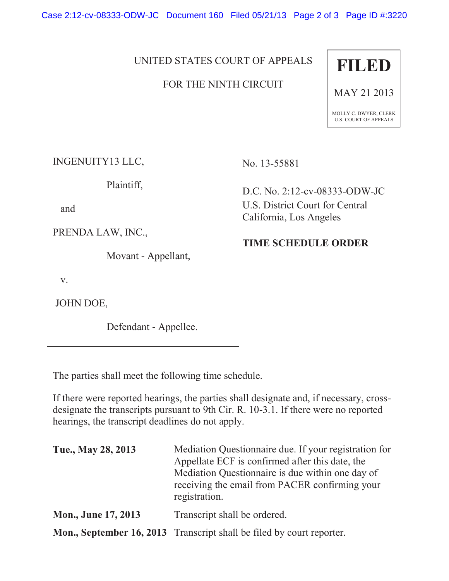Case 2:12-cv-08333-ODW-JC Document 160 Filed 05/21/13 Page 2 of 3 Page ID #:3220

## UNITED STATES COURT OF APPEALS

## FOR THE NINTH CIRCUIT



MAY 21 2013

MOLLY C. DWYER, CLERK U.S. COURT OF APPEALS

INGENUITY13 LLC,

Plaintiff,

and

PRENDA LAW, INC.,

Movant - Appellant,

v.

JOHN DOE,

Defendant - Appellee.

No. 13-55881

D.C. No. 2:12-cv-08333-ODW-JC U.S. District Court for Central California, Los Angeles

## **TIME SCHEDULE ORDER**

The parties shall meet the following time schedule.

If there were reported hearings, the parties shall designate and, if necessary, crossdesignate the transcripts pursuant to 9th Cir. R. 10-3.1. If there were no reported hearings, the transcript deadlines do not apply.

| Tue., May 28, 2013         | Mediation Questionnaire due. If your registration for<br>Appellate ECF is confirmed after this date, the<br>Mediation Questionnaire is due within one day of<br>receiving the email from PACER confirming your<br>registration. |
|----------------------------|---------------------------------------------------------------------------------------------------------------------------------------------------------------------------------------------------------------------------------|
| <b>Mon., June 17, 2013</b> | Transcript shall be ordered.                                                                                                                                                                                                    |
|                            | Mon., September 16, 2013 Transcript shall be filed by court reporter.                                                                                                                                                           |